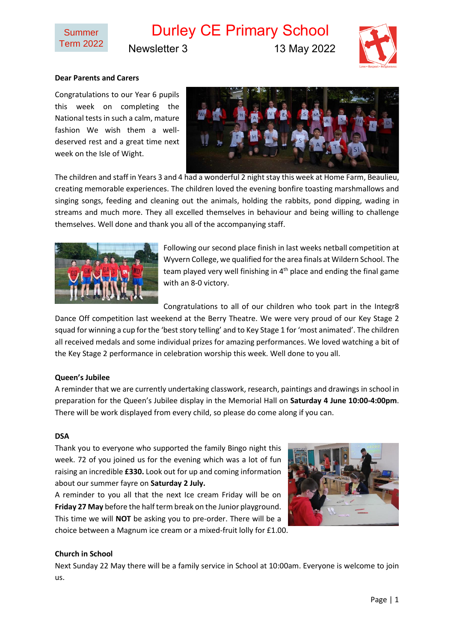

# Durley CE Primary School

Newsletter 3 13 May 2022



# **Dear Parents and Carers**

Congratulations to our Year 6 pupils this week on completing the National tests in such a calm, mature fashion We wish them a welldeserved rest and a great time next week on the Isle of Wight.



The children and staff in Years 3 and 4 had a wonderful 2 night stay this week at Home Farm, Beaulieu, creating memorable experiences. The children loved the evening bonfire toasting marshmallows and singing songs, feeding and cleaning out the animals, holding the rabbits, pond dipping, wading in streams and much more. They all excelled themselves in behaviour and being willing to challenge themselves. Well done and thank you all of the accompanying staff.



Following our second place finish in last weeks netball competition at Wyvern College, we qualified for the area finals at Wildern School. The team played very well finishing in  $4<sup>th</sup>$  place and ending the final game with an 8-0 victory.

Congratulations to all of our children who took part in the Integr8

Dance Off competition last weekend at the Berry Theatre. We were very proud of our Key Stage 2 squad for winning a cup for the 'best story telling' and to Key Stage 1 for 'most animated'. The children all received medals and some individual prizes for amazing performances. We loved watching a bit of the Key Stage 2 performance in celebration worship this week. Well done to you all.

## **Queen's Jubilee**

A reminder that we are currently undertaking classwork, research, paintings and drawings in school in preparation for the Queen's Jubilee display in the Memorial Hall on **Saturday 4 June 10:00-4:00pm**. There will be work displayed from every child, so please do come along if you can.

#### **DSA**

Thank you to everyone who supported the family Bingo night this week. 72 of you joined us for the evening which was a lot of fun raising an incredible **£330.** Look out for up and coming information about our summer fayre on **Saturday 2 July.**

A reminder to you all that the next Ice cream Friday will be on **Friday 27 May** before the half term break on the Junior playground. This time we will **NOT** be asking you to pre-order. There will be a choice between a Magnum ice cream or a mixed-fruit lolly for £1.00.



## **Church in School**

Next Sunday 22 May there will be a family service in School at 10:00am. Everyone is welcome to join us.